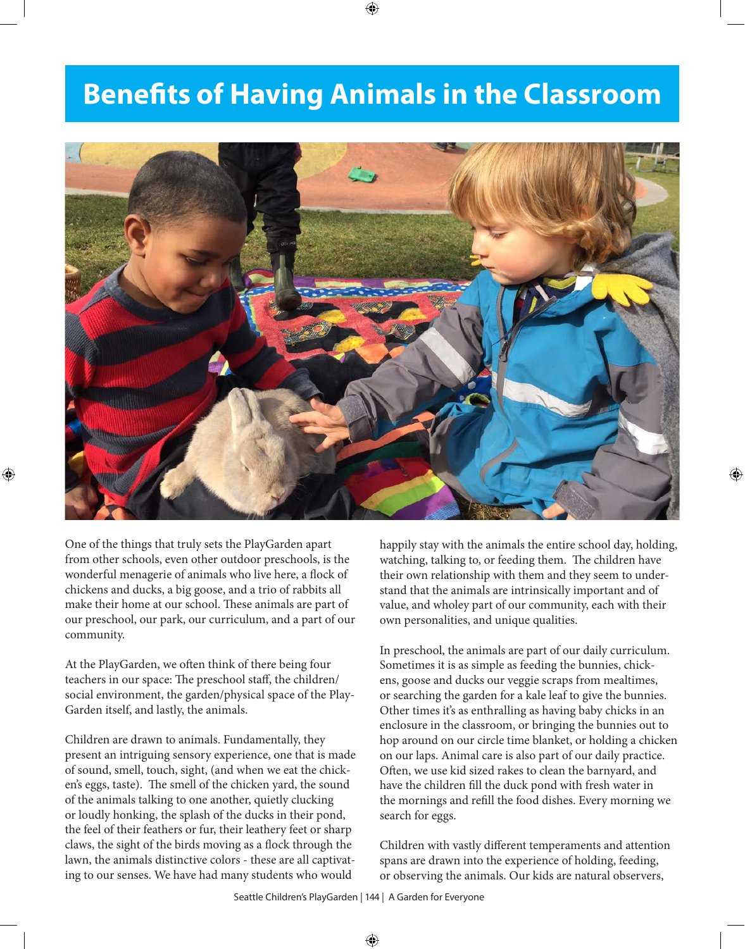## **Benefits of Having Animals in the Classroom**



One of the things that truly sets the PlayGarden apart from other schools, even other outdoor preschools, is the wonderful menagerie of animals who live here, a flock of chickens and ducks, a big goose, and a trio of rabbits all make their home at our school. These animals are part of our preschool, our park, our curriculum, and a part of our community.

At the PlayGarden, we often think of there being four teachers in our space: The preschool staff, the children/ social environment, the garden/physical space of the Play-Garden itself, and lastly, the animals.

Children are drawn to animals. Fundamentally, they present an intriguing sensory experience, one that is made of sound, smell, touch, sight, (and when we eat the chicken's eggs, taste). The smell of the chicken yard, the sound of the animals talking to one another, quietly clucking or loudly honking, the splash of the ducks in their pond, the feel of their feathers or fur, their leathery feet or sharp claws, the sight of the birds moving as a flock through the lawn, the animals distinctive colors - these are all captivating to our senses. We have had many students who would

happily stay with the animals the entire school day, holding, watching, talking to, or feeding them. The children have their own relationship with them and they seem to understand that the animals are intrinsically important and of value, and wholey part of our community, each with their own personalities, and unique qualities.

In preschool, the animals are part of our daily curriculum. Sometimes it is as simple as feeding the bunnies, chickens, goose and ducks our veggie scraps from mealtimes, or searching the garden for a kale leaf to give the bunnies. Other times it's as enthralling as having baby chicks in an enclosure in the classroom, or bringing the bunnies out to hop around on our circle time blanket, or holding a chicken on our laps. Animal care is also part of our daily practice. Often, we use kid sized rakes to clean the barnyard, and have the children fill the duck pond with fresh water in the mornings and refill the food dishes. Every morning we search for eggs.

Children with vastly different temperaments and attention spans are drawn into the experience of holding, feeding, or observing the animals. Our kids are natural observers,